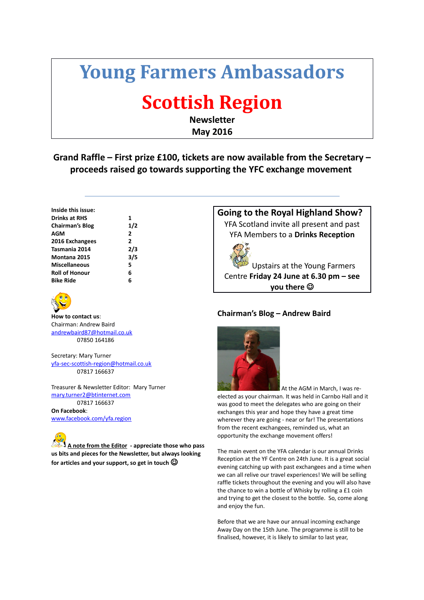# **Young Farmers Ambassadors**

# **Scottish Region**

**Newsletter May 2016**

## **Grand Raffle – First prize £100, tickets are now available from the Secretary – proceeds raised go towards supporting the YFC exchange movement**

| Inside this issue:   |   |
|----------------------|---|
| Drinks at RHS        | 1 |
| Chairman's Blog      | 1 |
| AGM                  | 2 |
| 2016 Exchangees      | 2 |
| Tasmania 2014        | 2 |
| Montana 2015         | з |
| <b>Miscellaneous</b> | 5 |
| Roll of Honour       | 6 |
| Bike Ride            | 6 |

**Chairman's Blog 1/2**

**Tasmania 2014 2/3 Montana 2015 3/5**



**How to contact us**: Chairman: Andrew Baird [andrewbaird87@hotmail.co.uk](mailto:yfa-sec-scottish-region@hotmail.co.uk) 07850 164186

Secretary: Mary Turner [yfa-sec-scottish-region@hotmail.co.uk](mailto:yfa-sec-scottish-region@hotmail.co.uk) 07817 166637

Treasurer & Newsletter Editor: Mary Turner [mary.turner2@btinternet.com](mailto:mary.turner2@btinternet.com) 07817 166637

**On Facebook**: [www.facebook.com/yfa.region](https://www.facebook.com/yfa.region)

**A note from the Editor - appreciate those who pass us bits and pieces for the Newsletter, but always looking for articles and your support, so get in touch** 

**Going to the Royal Highland Show?** YFA Scotland invite all present and past YFA Members to a **Drinks Reception**



Upstairs at the Young Farmers Centre **Friday 24 June at 6.30 pm – see you there** 

## **Chairman's Blog – Andrew Baird**



 At the AGM in March, I was reelected as your chairman. It was held in Carnbo Hall and it was good to meet the delegates who are going on their exchanges this year and hope they have a great time wherever they are going - near or far! The presentations from the recent exchangees, reminded us, what an opportunity the exchange movement offers!

The main event on the YFA calendar is our annual Drinks Reception at the YF Centre on 24th June. It is a great social evening catching up with past exchangees and a time when we can all relive our travel experiences! We will be selling raffle tickets throughout the evening and you will also have the chance to win a bottle of Whisky by rolling a £1 coin and trying to get the closest to the bottle. So, come along and enjoy the fun.

Before that we are have our annual incoming exchange Away Day on the 15th June. The programme is still to be finalised, however, it is likely to similar to last year,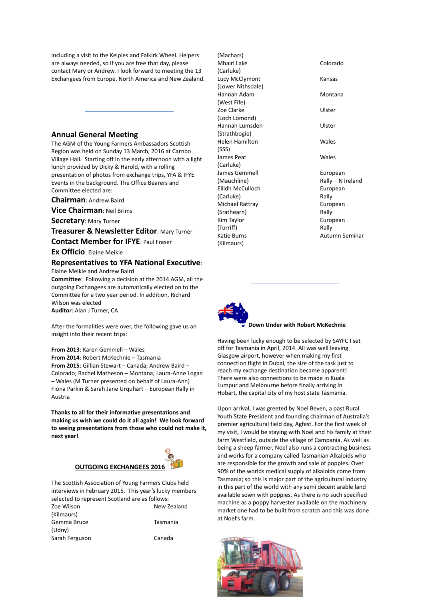including a visit to the Kelpies and Falkirk Wheel. Helpers are always needed, so if you are free that day, please contact Mary or Andrew. I look forward to meeting the 13 Exchangees from Europe, North America and New Zealand.

### **Annual General Meeting**

The AGM of the Young Farmers Ambassadors Scottish Region was held on Sunday 13 March, 2016 at Carnbo Village Hall. Starting off in the early afternoon with a light lunch provided by Dicky & Harold, with a rolling presentation of photos from exchange trips, YFA & IFYE Events in the background. The Office Bearers and Committee elected are:

**Chairman**: Andrew Baird

**Vice Chairman**: Neil Brims

**Secretary**: Mary Turner

**Treasurer & Newsletter Editor**: Mary Turner

**Contact Member for IFYE**: Paul Fraser

**Ex Officio**: Elaine Meikle

#### **Representatives to YFA National Executive**: Elaine Meikle and Andrew Baird

**Committee**: Following a decision at the 2014 AGM, all the outgoing Exchangees are automatically elected on to the Committee for a two year period. In addition, Richard Wilson was elected

**Auditor**: Alan J Turner, CA

After the formalities were over, the following gave us an insight into their recent trips:

**From 2013**: Karen Gemmell – Wales **From 2014**: Robert McKechnie – Tasmania **From 2015**: Gillian Stewart – Canada; Andrew Baird – Colorado; Rachel Matheson – Montana; Laura-Anne Logan – Wales (M Turner presented on behalf of Laura-Ann) Fiona Parkin & Sarah Jane Urquhart – European Rally in Austria

**Thanks to all for their informative presentations and making us wish we could do it all again! We look forward to seeing presentations from those who could not make it, next year!**

## **OUTGOING EXCHANGEES 2016**

The Scottish Association of Young Farmers Clubs held interviews in February 2015. This year's lucky members selected to represent Scotland are as follows: Zoe Wilson New Zealand (Kilmaurs) Gemma Bruce Tasmania (Udny)

Sarah Ferguson **Canada** 

(Machars) Mhairi Lake Colorado (Carluke) Lucy McClymont **Kansas** (Lower Nithsdale) Hannah Adam Montana (West Fife) Zoe Clarke Vister (Loch Lomond) Hannah Lumsden Ulster (Strathbogie) Helen Hamilton Wales (SSS) James Peat Wales (Carluke) James Gemmell **European** (Mauchline) Rally – N Ireland Eilidh McCulloch **European** (Carluke) Rally Michael Rattray **European** (Srathearn) Rally Kim Taylor **European** (Turriff) Rally Katie Burns **Autumn** Seminar (Kilmaurs)



#### **Down Under with Robert McKechnie**

Having been lucky enough to be selected by SAYFC I set off for Tasmania in April, 2014. All was well leaving Glasgow airport, however when making my first connection flight in Dubai, the size of the task just to reach my exchange destination became apparent! There were also connections to be made in Kuala Lumpur and Melbourne before finally arriving in Hobart, the capital city of my host state Tasmania.

Upon arrival, I was greeted by Noel Beven, a past Rural Youth State President and founding chairman of Australia's premier agricultural field day, Agfest. For the first week of my visit, I would be staying with Noel and his family at their farm Westfield, outside the village of Campania. As well as being a sheep farmer, Noel also runs a contracting business and works for a company called Tasmanian Alkaloids who are responsible for the growth and sale of poppies. Over 90% of the worlds medical supply of alkaloids come from Tasmania; so this is major part of the agricultural industry in this part of the world with any semi decent arable land available sown with poppies. As there is no such specified machine as a poppy harvester available on the machinery market one had to be built from scratch and this was done at Noel's farm.

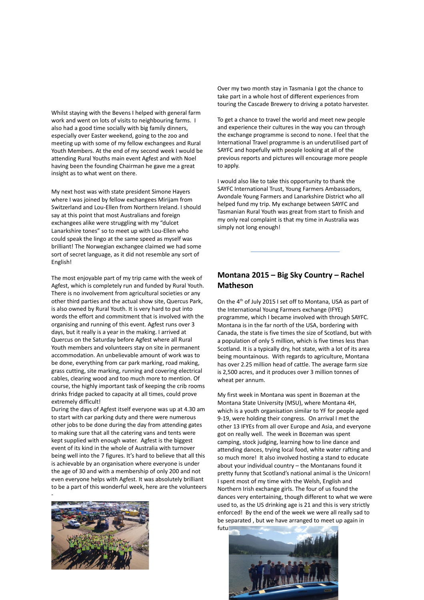Whilst staying with the Bevens I helped with general farm work and went on lots of visits to neighbouring farms. I also had a good time socially with big family dinners, especially over Easter weekend, going to the zoo and meeting up with some of my fellow exchangees and Rural Youth Members. At the end of my second week I would be attending Rural Youths main event Agfest and with Noel having been the founding Chairman he gave me a great insight as to what went on there.

My next host was with state president Simone Hayers where I was joined by fellow exchangees Mirijam from Switzerland and Lou-Ellen from Northern Ireland. I should say at this point that most Australians and foreign exchangees alike were struggling with my "dulcet Lanarkshire tones" so to meet up with Lou-Ellen who could speak the lingo at the same speed as myself was brilliant! The Norwegian exchangee claimed we had some sort of secret language, as it did not resemble any sort of English!

The most enjoyable part of my trip came with the week of Agfest, which is completely run and funded by Rural Youth. There is no involvement from agricultural societies or any other third parties and the actual show site, Quercus Park, is also owned by Rural Youth. It is very hard to put into words the effort and commitment that is involved with the organising and running of this event. Agfest runs over 3 days, but it really is a year in the making. I arrived at Quercus on the Saturday before Agfest where all Rural Youth members and volunteers stay on site in permanent accommodation. An unbelievable amount of work was to be done, everything from car park marking, road making, grass cutting, site marking, running and covering electrical cables, clearing wood and too much more to mention. Of course, the highly important task of keeping the crib rooms drinks fridge packed to capacity at all times, could prove extremely difficult!

During the days of Agfest itself everyone was up at 4.30 am to start with car parking duty and there were numerous other jobs to be done during the day from attending gates to making sure that all the catering vans and tents were kept supplied with enough water. Agfest is the biggest event of its kind in the whole of Australia with turnover being well into the 7 figures. It's hard to believe that all this is achievable by an organisation where everyone is under the age of 30 and with a membership of only 200 and not even everyone helps with Agfest. It was absolutely brilliant to be a part of this wonderful week, here are the volunteers



Over my two month stay in Tasmania I got the chance to take part in a whole host of different experiences from touring the Cascade Brewery to driving a potato harvester.

To get a chance to travel the world and meet new people and experience their cultures in the way you can through the exchange programme is second to none. I feel that the International Travel programme is an underutilised part of SAYFC and hopefully with people looking at all of the previous reports and pictures will encourage more people to apply.

I would also like to take this opportunity to thank the SAYFC International Trust, Young Farmers Ambassadors, Avondale Young Farmers and Lanarkshire District who all helped fund my trip. My exchange between SAYFC and Tasmanian Rural Youth was great from start to finish and my only real complaint is that my time in Australia was simply not long enough!

### **Montana 2015 – Big Sky Country – Rachel Matheson**

On the 4<sup>th</sup> of July 2015 I set off to Montana, USA as part of the International Young Farmers exchange (IFYE) programme, which I became involved with through SAYFC. Montana is in the far north of the USA, bordering with Canada, the state is five times the size of Scotland, but with a population of only 5 million, which is five times less than Scotland. It is a typically dry, hot state, with a lot of its area being mountainous. With regards to agriculture, Montana has over 2.25 million head of cattle. The average farm size is 2,500 acres, and it produces over 3 million tonnes of wheat per annum.

My first week in Montana was spent in Bozeman at the Montana State University (MSU), where Montana 4H, which is a youth organisation similar to YF for people aged 9-19, were holding their congress. On arrival I met the other 13 IFYEs from all over Europe and Asia, and everyone got on really well. The week in Bozeman was spent camping, stock judging, learning how to line dance and attending dances, trying local food, white water rafting and so much more! It also involved hosting a stand to educate about your individual country – the Montanans found it pretty funny that Scotland's national animal is the Unicorn! I spent most of my time with the Welsh, English and Northern Irish exchange girls. The four of us found the dances very entertaining, though different to what we were used to, as the US drinking age is 21 and this is very strictly enforced! By the end of the week we were all really sad to be separated , but we have arranged to meet up again in futu

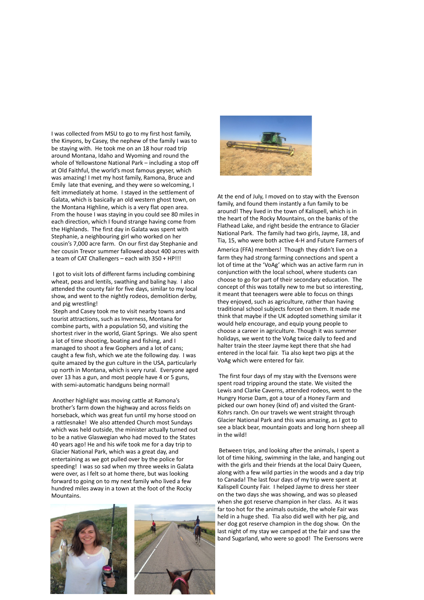I was collected from MSU to go to my first host family, the Kinyons, by Casey, the nephew of the family I was to be staying with. He took me on an 18 hour road trip around Montana, Idaho and Wyoming and round the whole of Yellowstone National Park – including a stop off at Old Faithful, the world's most famous geyser, which was amazing! I met my host family, Ramona, Bruce and Emily late that evening, and they were so welcoming, I felt immediately at home. I stayed in the settlement of Galata, which is basically an old western ghost town, on the Montana Highline, which is a very flat open area. From the house I was staying in you could see 80 miles in each direction, which I found strange having come from the Highlands. The first day in Galata was spent with Stephanie, a neighbouring girl who worked on her cousin's 7,000 acre farm. On our first day Stephanie and her cousin Trevor summer fallowed about 400 acres with a team of CAT Challengers – each with 350 + HP!!!

 I got to visit lots of different farms including combining wheat, peas and lentils, swathing and baling hay. I also attended the county fair for five days, similar to my local show, and went to the nightly rodeos, demolition derby, and pig wrestling!

 Steph and Casey took me to visit nearby towns and tourist attractions, such as Inverness, Montana for combine parts, with a population 50, and visiting the shortest river in the world, Giant Springs. We also spent a lot of time shooting, boating and fishing, and I managed to shoot a few Gophers and a lot of cans; caught a few fish, which we ate the following day. I was quite amazed by the gun culture in the USA, particularly up north in Montana, which is very rural. Everyone aged over 13 has a gun, and most people have 4 or 5 guns, with semi-automatic handguns being normal!

 Another highlight was moving cattle at Ramona's brother's farm down the highway and across fields on horseback, which was great fun until my horse stood on a rattlesnake! We also attended Church most Sundays which was held outside, the minister actually turned out to be a native Glaswegian who had moved to the States 40 years ago! He and his wife took me for a day trip to Glacier National Park, which was a great day, and entertaining as we got pulled over by the police for speeding! I was so sad when my three weeks in Galata were over, as I felt so at home there, but was looking forward to going on to my next family who lived a few hundred miles away in a town at the foot of the Rocky Mountains.





At the end of July, I moved on to stay with the Evenson family, and found them instantly a fun family to be around! They lived in the town of Kalispell, which is in the heart of the Rocky Mountains, on the banks of the Flathead Lake, and right beside the entrance to Glacier National Park. The family had two girls, Jayme, 18, and Tia, 15, who were both active 4-H and Future Farmers of America (FFA) members! Though they didn't live on a farm they had strong farming connections and spent a lot of time at the 'VoAg' which was an active farm run in conjunction with the local school, where students can choose to go for part of their secondary education. The concept of this was totally new to me but so interesting, it meant that teenagers were able to focus on things they enjoyed, such as agriculture, rather than having traditional school subjects forced on them. It made me think that maybe if the UK adopted something similar it would help encourage, and equip young people to choose a career in agriculture. Though it was summer holidays, we went to the VoAg twice daily to feed and halter train the steer Jayme kept there that she had entered in the local fair. Tia also kept two pigs at the VoAg which were entered for fair.

 The first four days of my stay with the Evensons were spent road tripping around the state. We visited the Lewis and Clarke Caverns, attended rodeos, went to the Hungry Horse Dam, got a tour of a Honey Farm and picked our own honey (kind of) and visited the Grant-Kohrs ranch. On our travels we went straight through Glacier National Park and this was amazing, as I got to see a black bear, mountain goats and long horn sheep all in the wild!

 Between trips, and looking after the animals, I spent a lot of time hiking, swimming in the lake, and hanging out with the girls and their friends at the local Dairy Queen, along with a few wild parties in the woods and a day trip to Canada! The last four days of my trip were spent at Kalispell County Fair. I helped Jayme to dress her steer on the two days she was showing, and was so pleased when she got reserve champion in her class. As it was far too hot for the animals outside, the whole Fair was held in a huge shed. Tia also did well with her pig, and her dog got reserve champion in the dog show. On the last night of my stay we camped at the fair and saw the band Sugarland, who were so good! The Evensons were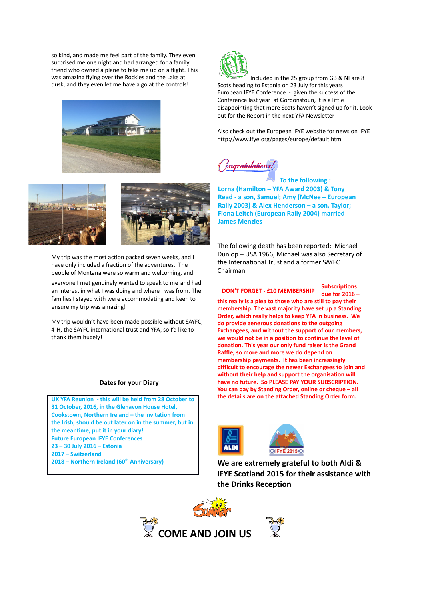so kind, and made me feel part of the family. They even surprised me one night and had arranged for a family friend who owned a plane to take me up on a flight. This was amazing flying over the Rockies and the Lake at dusk, and they even let me have a go at the controls!





My trip was the most action packed seven weeks, and I have only included a fraction of the adventures. The people of Montana were so warm and welcoming, and everyone I met genuinely wanted to speak to me and had an interest in what I was doing and where I was from. The families I stayed with were accommodating and keen to ensure my trip was amazing!

My trip wouldn't have been made possible without SAYFC, 4-H, the SAYFC international trust and YFA, so I'd like to thank them hugely!

#### **Dates for your Diary**

**UK YFA Reunion - this will be held from 28 October to 31 October, 2016, in the Glenavon House Hotel, Cookstown, Northern Ireland – the invitation from the Irish, should be out later on in the summer, but in the meantime, put it in your diary! Future European IFYE Conferences 23 – 30 July 2016 – Estonia 2017 – Switzerland 2018 – Northern Ireland (60th Anniversary)**



 Included in the 25 group from GB & NI are 8 Scots heading to Estonia on 23 July for this years European IFYE Conference - given the success of the Conference last year at Gordonstoun, it is a little disappointing that more Scots haven't signed up for it. Look out for the Report in the next YFA Newsletter

Also check out the European IFYE website for news on IFYE http://www.ifye.org/pages/europe/default.htm

ongratulations!

 **To the following : Lorna (Hamilton – YFA Award 2003) & Tony Read - a son, Samuel; Amy (McNee – European Rally 2003) & Alex Henderson – a son, Taylor; Fiona Leitch (European Rally 2004) married James Menzies**

The following death has been reported: Michael Dunlop – USA 1966; Michael was also Secretary of the International Trust and a former SAYFC Chairman

**Subscriptions due for 2016 – this really is a plea to those who are still to pay their membership. The vast majority have set up a Standing Order, which really helps to keep YFA in business. We do provide generous donations to the outgoing Exchangees, and without the support of our members, we would not be in a position to continue the level of donation. This year our only fund raiser is the Grand Raffle, so more and more we do depend on membership payments. It has been increasingly difficult to encourage the newer Exchangees to join and without their help and support the organisation will have no future. So PLEASE PAY YOUR SUBSCRIPTION. You can pay by Standing Order, online or cheque – all the details are on the attached Standing Order form. DON'T FORGET - £10 MEMBERSHIP**



**We are extremely grateful to both Aldi & IFYE Scotland 2015 for their assistance with the Drinks Reception**